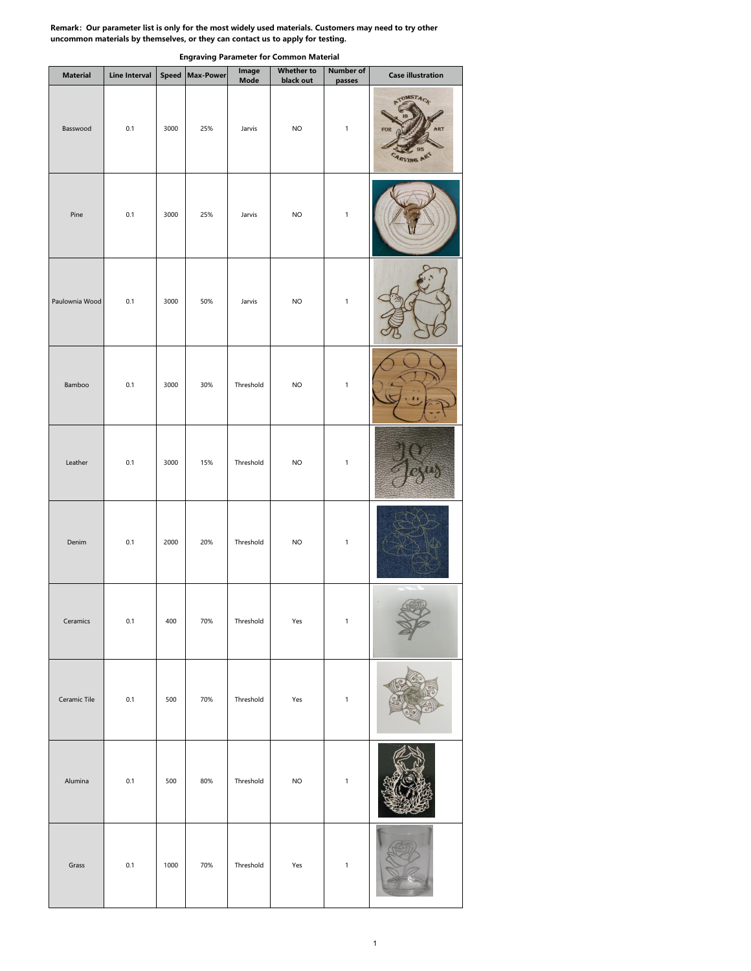## **Remark:Our parameter list is only for the most widely used materials. Customers may need to try other uncommon materials by themselves, or they can contact us to applyfor testing.**

| <b>Material</b> | Line Interval |      | Speed Max-Power | Image<br>Mode | <b>Whether to</b><br>black out | <b>Number of</b><br>passes | <b>Case illustration</b>                    |
|-----------------|---------------|------|-----------------|---------------|--------------------------------|----------------------------|---------------------------------------------|
| Basswood        | 0.1           | 3000 | 25%             | Jarvis        | <b>NO</b>                      | $\mathbf 1$                | TOMSTACK<br>FOR<br><b><i>ARVING ART</i></b> |
| Pine            | 0.1           | 3000 | 25%             | Jarvis        | <b>NO</b>                      | $\mathbf 1$                |                                             |
| Paulownia Wood  | 0.1           | 3000 | 50%             | Jarvis        | <b>NO</b>                      | $\mathbf 1$                |                                             |
| Bamboo          | 0.1           | 3000 | 30%             | Threshold     | $NO$                           | $\mathbf 1$                |                                             |
| Leather         | 0.1           | 3000 | 15%             | Threshold     | $NO$                           | $\mathbf 1$                |                                             |
| Denim           | 0.1           | 2000 | 20%             | Threshold     | <b>NO</b>                      | $\mathbf 1$                |                                             |
| Ceramics        | 0.1           | 400  | 70%             | Threshold     | Yes                            | $\mathbf 1$                | $\sqrt{2\pi r}$                             |
| Ceramic Tile    | 0.1           | 500  | 70%             | Threshold     | Yes                            | $\mathbf 1$                |                                             |
| Alumina         | 0.1           | 500  | 80%             | Threshold     | <b>NO</b>                      | $\mathbf{1}$               |                                             |
| Grass           | 0.1           | 1000 | 70%             | Threshold     | Yes                            | $\mathbf 1$                |                                             |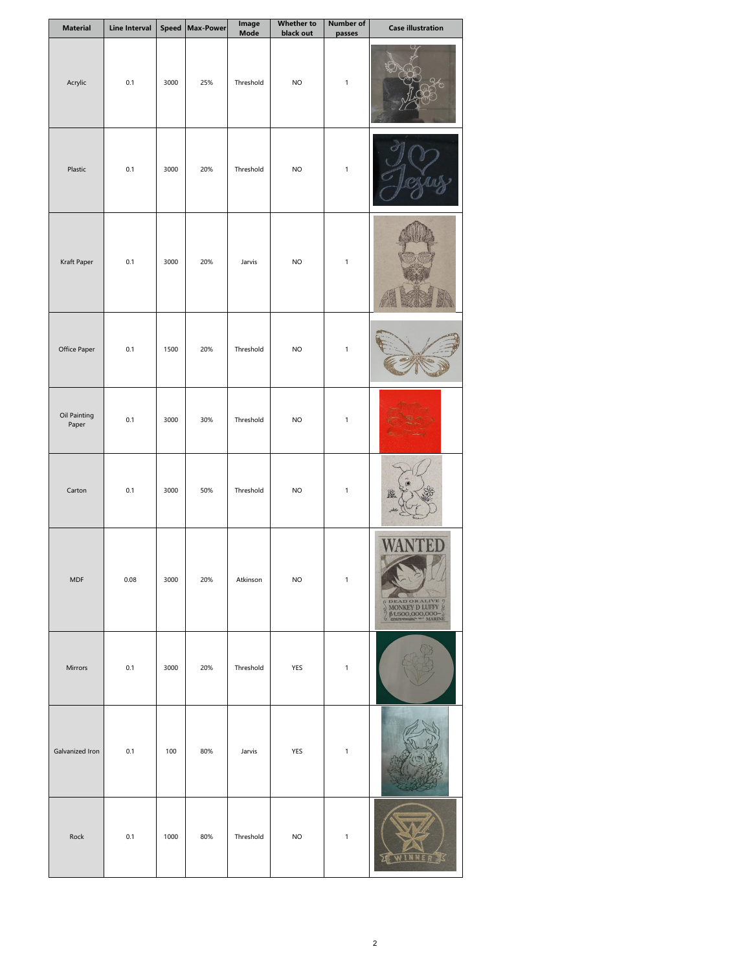| <b>Material</b>       | Line Interval |      | Speed Max-Power | Image<br>Mode | <b>Whether to</b><br>black out | Number of<br>passes | <b>Case illustration</b> |
|-----------------------|---------------|------|-----------------|---------------|--------------------------------|---------------------|--------------------------|
| Acrylic               | 0.1           | 3000 | 25%             | Threshold     | <b>NO</b>                      | $\mathbf 1$         |                          |
| Plastic               | 0.1           | 3000 | 20%             | Threshold     | <b>NO</b>                      | $\mathbf 1$         |                          |
| Kraft Paper           | 0.1           | 3000 | 20%             | Jarvis        | $\sf NO$                       | $\mathbf 1$         |                          |
| Office Paper          | 0.1           | 1500 | 20%             | Threshold     | $NO$                           | $\,$ 1 $\,$         |                          |
| Oil Painting<br>Paper | 0.1           | 3000 | 30%             | Threshold     | <b>NO</b>                      | $\mathbf 1$         |                          |
| Carton                | 0.1           | 3000 | 50%             | Threshold     | <b>NO</b>                      | $\mathbf 1$         |                          |
| MDF                   | 0.08          | 3000 | 20%             | Atkinson      | $NO$                           | $\mathbf 1$         | CORALIVE                 |
| Mirrors               | 0.1           | 3000 | 20%             | Threshold     | YES                            | $\mathbf 1$         |                          |
| Galvanized Iron       | 0.1           | 100  | 80%             | Jarvis        | YES                            | $\mathbf 1$         |                          |
| Rock                  | 0.1           | 1000 | 80%             | Threshold     | $NO$                           | $\mathbf 1$         | WINNERS                  |